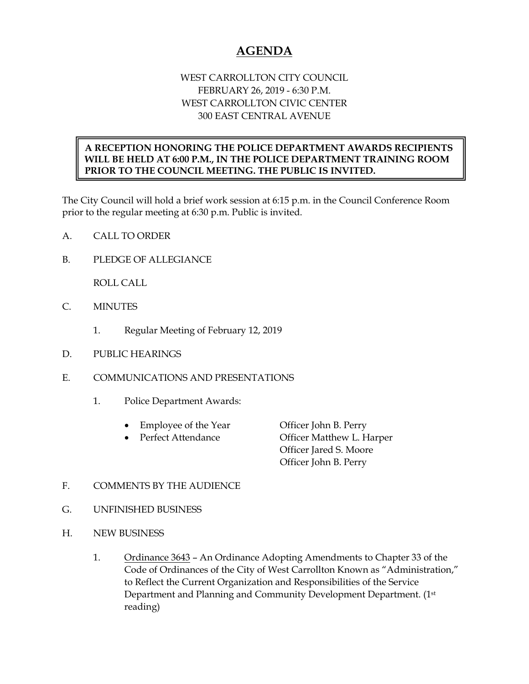## **AGENDA**

## WEST CARROLLTON CITY COUNCIL FEBRUARY 26, 2019 - 6:30 P.M. WEST CARROLLTON CIVIC CENTER 300 EAST CENTRAL AVENUE

## **A RECEPTION HONORING THE POLICE DEPARTMENT AWARDS RECIPIENTS WILL BE HELD AT 6:00 P.M., IN THE POLICE DEPARTMENT TRAINING ROOM PRIOR TO THE COUNCIL MEETING. THE PUBLIC IS INVITED.**

The City Council will hold a brief work session at 6:15 p.m. in the Council Conference Room prior to the regular meeting at 6:30 p.m. Public is invited.

- A. CALL TO ORDER
- B. PLEDGE OF ALLEGIANCE

ROLL CALL

- C. MINUTES
	- 1. Regular Meeting of February 12, 2019
- D. PUBLIC HEARINGS
- E. COMMUNICATIONS AND PRESENTATIONS
	- 1. Police Department Awards:
		- Employee of the Year Officer John B. Perry
		-

• Perfect Attendance Officer Matthew L. Harper Officer Jared S. Moore Officer John B. Perry

- F. COMMENTS BY THE AUDIENCE
- G. UNFINISHED BUSINESS
- H. NEW BUSINESS
	- 1. Ordinance 3643 An Ordinance Adopting Amendments to Chapter 33 of the Code of Ordinances of the City of West Carrollton Known as "Administration," to Reflect the Current Organization and Responsibilities of the Service Department and Planning and Community Development Department. (1st reading)